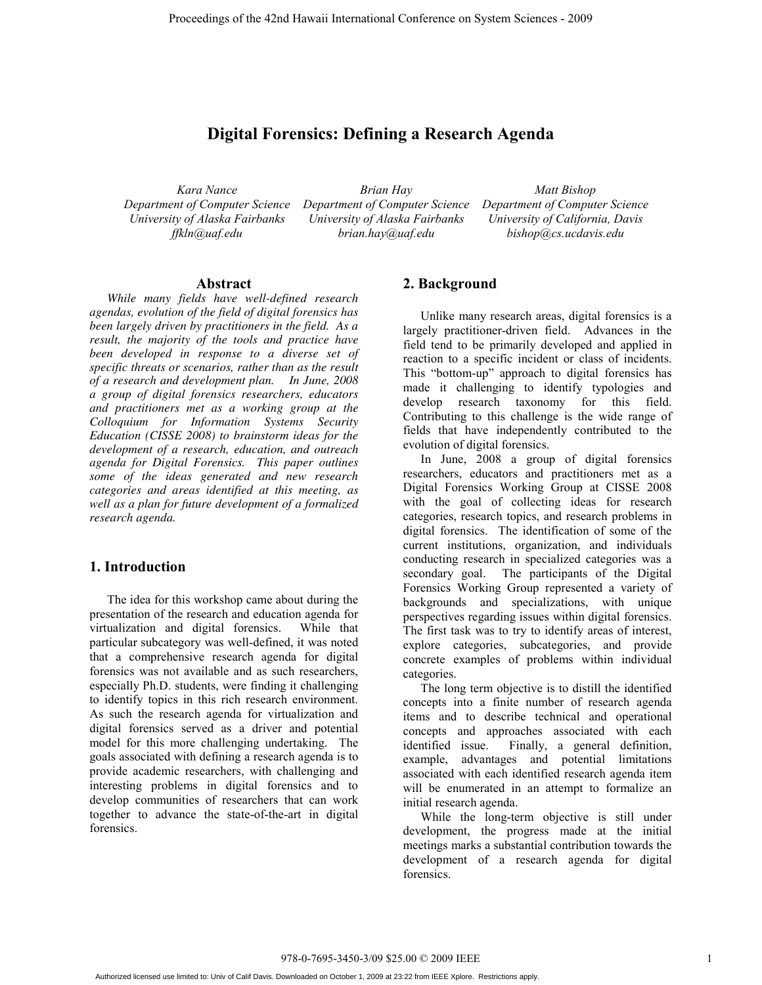# **Digital Forensics: Defining a Research Agenda**

*Kara Nance Department of Computer Science Department of Computer Science University of Alaska Fairbanks ffkln@uaf.edu* 

*Brian Hay University of Alaska Fairbanks brian.hay@uaf.edu* 

*Matt Bishop Department of Computer Science University of California, Davis bishop@cs.ucdavis.edu* 

#### **Abstract**

*While many fields have well-defined research agendas, evolution of the field of digital forensics has been largely driven by practitioners in the field. As a result, the majority of the tools and practice have been developed in response to a diverse set of specific threats or scenarios, rather than as the result of a research and development plan. In June, 2008 a group of digital forensics researchers, educators and practitioners met as a working group at the Colloquium for Information Systems Security Education (CISSE 2008) to brainstorm ideas for the development of a research, education, and outreach agenda for Digital Forensics. This paper outlines some of the ideas generated and new research categories and areas identified at this meeting, as well as a plan for future development of a formalized research agenda.* 

## **1. Introduction**

The idea for this workshop came about during the presentation of the research and education agenda for virtualization and digital forensics. While that particular subcategory was well-defined, it was noted that a comprehensive research agenda for digital forensics was not available and as such researchers, especially Ph.D. students, were finding it challenging to identify topics in this rich research environment. As such the research agenda for virtualization and digital forensics served as a driver and potential model for this more challenging undertaking. The goals associated with defining a research agenda is to provide academic researchers, with challenging and interesting problems in digital forensics and to develop communities of researchers that can work together to advance the state-of-the-art in digital forensics.

# **2. Background**

Unlike many research areas, digital forensics is a largely practitioner-driven field. Advances in the field tend to be primarily developed and applied in reaction to a specific incident or class of incidents. This "bottom-up" approach to digital forensics has made it challenging to identify typologies and develop research taxonomy for this field. Contributing to this challenge is the wide range of fields that have independently contributed to the evolution of digital forensics.

In June, 2008 a group of digital forensics researchers, educators and practitioners met as a Digital Forensics Working Group at CISSE 2008 with the goal of collecting ideas for research categories, research topics, and research problems in digital forensics. The identification of some of the current institutions, organization, and individuals conducting research in specialized categories was a secondary goal. The participants of the Digital Forensics Working Group represented a variety of backgrounds and specializations, with unique perspectives regarding issues within digital forensics. The first task was to try to identify areas of interest, explore categories, subcategories, and provide concrete examples of problems within individual categories.

The long term objective is to distill the identified concepts into a finite number of research agenda items and to describe technical and operational concepts and approaches associated with each identified issue. Finally, a general definition, example, advantages and potential limitations associated with each identified research agenda item will be enumerated in an attempt to formalize an initial research agenda.

While the long-term objective is still under development, the progress made at the initial meetings marks a substantial contribution towards the development of a research agenda for digital forensics.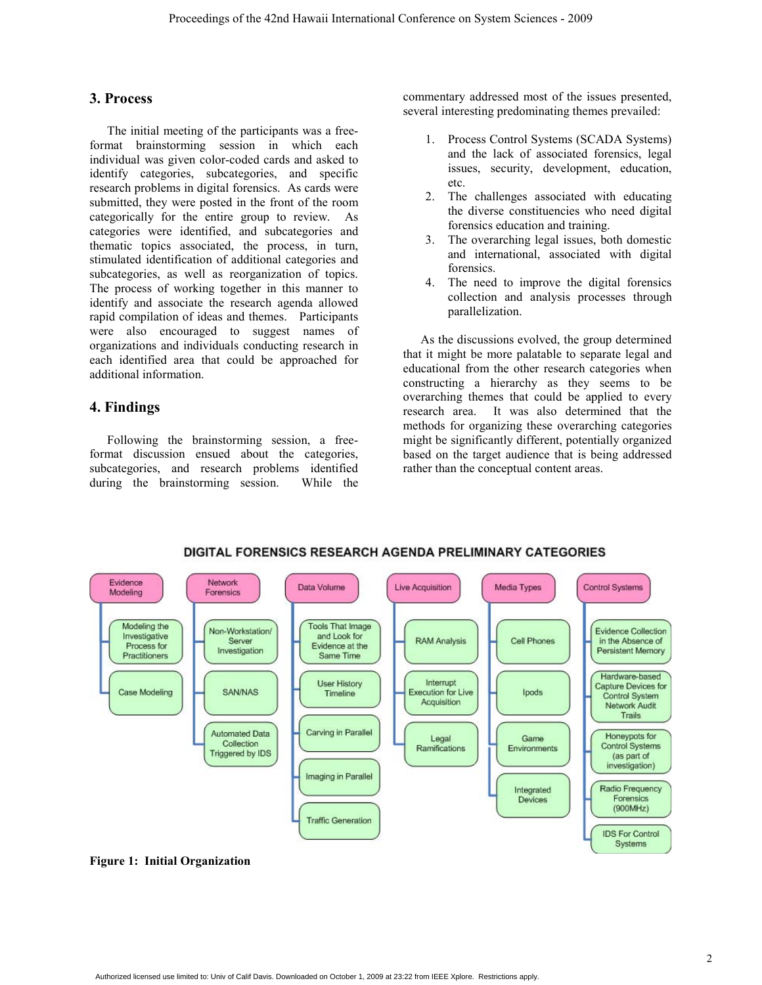## **3. Process**

The initial meeting of the participants was a freeformat brainstorming session in which each individual was given color-coded cards and asked to identify categories, subcategories, and specific research problems in digital forensics. As cards were submitted, they were posted in the front of the room categorically for the entire group to review. As categories were identified, and subcategories and thematic topics associated, the process, in turn, stimulated identification of additional categories and subcategories, as well as reorganization of topics. The process of working together in this manner to identify and associate the research agenda allowed rapid compilation of ideas and themes. Participants were also encouraged to suggest names of organizations and individuals conducting research in each identified area that could be approached for additional information.

# **4. Findings**

Following the brainstorming session, a freeformat discussion ensued about the categories, subcategories, and research problems identified during the brainstorming session. While the

commentary addressed most of the issues presented, several interesting predominating themes prevailed:

- 1. Process Control Systems (SCADA Systems) and the lack of associated forensics, legal issues, security, development, education, etc.
- 2. The challenges associated with educating the diverse constituencies who need digital forensics education and training.
- 3. The overarching legal issues, both domestic and international, associated with digital forensics.
- 4. The need to improve the digital forensics collection and analysis processes through parallelization.

As the discussions evolved, the group determined that it might be more palatable to separate legal and educational from the other research categories when constructing a hierarchy as they seems to be overarching themes that could be applied to every research area. It was also determined that the methods for organizing these overarching categories might be significantly different, potentially organized based on the target audience that is being addressed rather than the conceptual content areas.



## DIGITAL FORENSICS RESEARCH AGENDA PRELIMINARY CATEGORIES

**Figure 1: Initial Organization**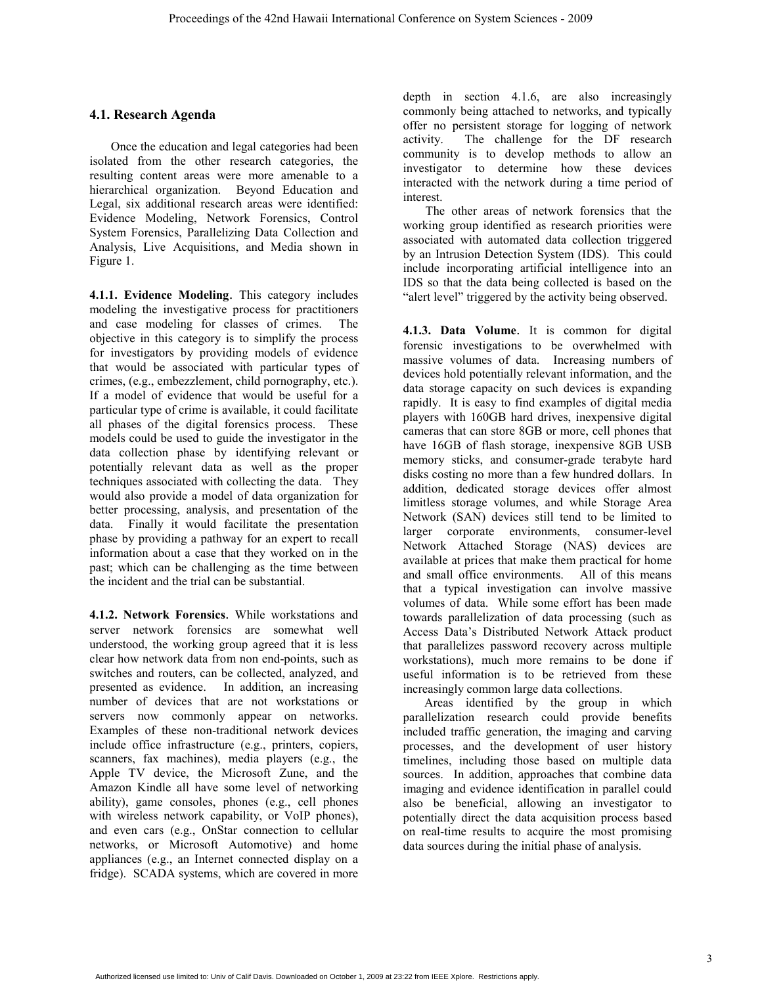### **4.1. Research Agenda**

 Once the education and legal categories had been isolated from the other research categories, the resulting content areas were more amenable to a hierarchical organization. Beyond Education and Legal, six additional research areas were identified: Evidence Modeling, Network Forensics, Control System Forensics, Parallelizing Data Collection and Analysis, Live Acquisitions, and Media shown in Figure 1.

**4.1.1. Evidence Modeling**. This category includes modeling the investigative process for practitioners and case modeling for classes of crimes. The objective in this category is to simplify the process for investigators by providing models of evidence that would be associated with particular types of crimes, (e.g., embezzlement, child pornography, etc.). If a model of evidence that would be useful for a particular type of crime is available, it could facilitate all phases of the digital forensics process. These models could be used to guide the investigator in the data collection phase by identifying relevant or potentially relevant data as well as the proper techniques associated with collecting the data. They would also provide a model of data organization for better processing, analysis, and presentation of the data. Finally it would facilitate the presentation phase by providing a pathway for an expert to recall information about a case that they worked on in the past; which can be challenging as the time between the incident and the trial can be substantial.

**4.1.2. Network Forensics**. While workstations and server network forensics are somewhat well understood, the working group agreed that it is less clear how network data from non end-points, such as switches and routers, can be collected, analyzed, and presented as evidence. In addition, an increasing number of devices that are not workstations or servers now commonly appear on networks. Examples of these non-traditional network devices include office infrastructure (e.g., printers, copiers, scanners, fax machines), media players (e.g., the Apple TV device, the Microsoft Zune, and the Amazon Kindle all have some level of networking ability), game consoles, phones (e.g., cell phones with wireless network capability, or VoIP phones), and even cars (e.g., OnStar connection to cellular networks, or Microsoft Automotive) and home appliances (e.g., an Internet connected display on a fridge). SCADA systems, which are covered in more

depth in section 4.1.6, are also increasingly commonly being attached to networks, and typically offer no persistent storage for logging of network activity. The challenge for the DF research community is to develop methods to allow an investigator to determine how these devices interacted with the network during a time period of interest.

 The other areas of network forensics that the working group identified as research priorities were associated with automated data collection triggered by an Intrusion Detection System (IDS). This could include incorporating artificial intelligence into an IDS so that the data being collected is based on the "alert level" triggered by the activity being observed.

**4.1.3. Data Volume**. It is common for digital forensic investigations to be overwhelmed with massive volumes of data. Increasing numbers of devices hold potentially relevant information, and the data storage capacity on such devices is expanding rapidly. It is easy to find examples of digital media players with 160GB hard drives, inexpensive digital cameras that can store 8GB or more, cell phones that have 16GB of flash storage, inexpensive 8GB USB memory sticks, and consumer-grade terabyte hard disks costing no more than a few hundred dollars. In addition, dedicated storage devices offer almost limitless storage volumes, and while Storage Area Network (SAN) devices still tend to be limited to larger corporate environments, consumer-level Network Attached Storage (NAS) devices are available at prices that make them practical for home and small office environments. All of this means that a typical investigation can involve massive volumes of data. While some effort has been made towards parallelization of data processing (such as Access Data's Distributed Network Attack product that parallelizes password recovery across multiple workstations), much more remains to be done if useful information is to be retrieved from these increasingly common large data collections.

 Areas identified by the group in which parallelization research could provide benefits included traffic generation, the imaging and carving processes, and the development of user history timelines, including those based on multiple data sources. In addition, approaches that combine data imaging and evidence identification in parallel could also be beneficial, allowing an investigator to potentially direct the data acquisition process based on real-time results to acquire the most promising data sources during the initial phase of analysis.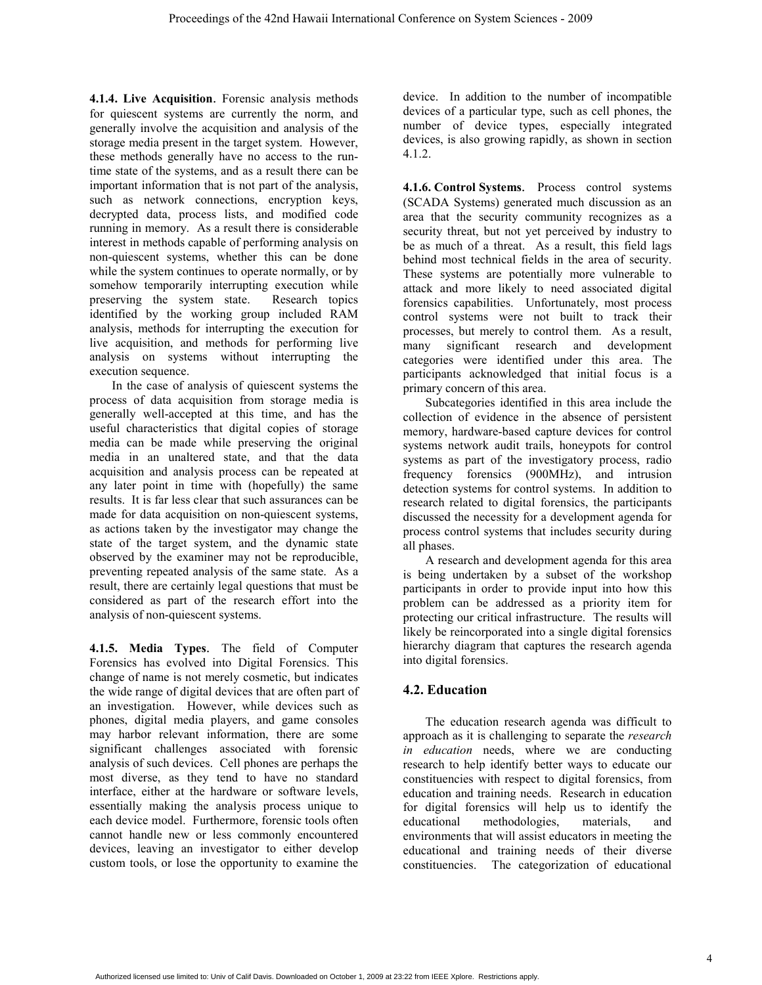**4.1.4. Live Acquisition**. Forensic analysis methods for quiescent systems are currently the norm, and generally involve the acquisition and analysis of the storage media present in the target system. However, these methods generally have no access to the runtime state of the systems, and as a result there can be important information that is not part of the analysis, such as network connections, encryption keys, decrypted data, process lists, and modified code running in memory. As a result there is considerable interest in methods capable of performing analysis on non-quiescent systems, whether this can be done while the system continues to operate normally, or by somehow temporarily interrupting execution while preserving the system state. Research topics identified by the working group included RAM analysis, methods for interrupting the execution for live acquisition, and methods for performing live analysis on systems without interrupting the execution sequence.

 In the case of analysis of quiescent systems the process of data acquisition from storage media is generally well-accepted at this time, and has the useful characteristics that digital copies of storage media can be made while preserving the original media in an unaltered state, and that the data acquisition and analysis process can be repeated at any later point in time with (hopefully) the same results. It is far less clear that such assurances can be made for data acquisition on non-quiescent systems, as actions taken by the investigator may change the state of the target system, and the dynamic state observed by the examiner may not be reproducible, preventing repeated analysis of the same state. As a result, there are certainly legal questions that must be considered as part of the research effort into the analysis of non-quiescent systems.

**4.1.5. Media Types**. The field of Computer Forensics has evolved into Digital Forensics. This change of name is not merely cosmetic, but indicates the wide range of digital devices that are often part of an investigation. However, while devices such as phones, digital media players, and game consoles may harbor relevant information, there are some significant challenges associated with forensic analysis of such devices. Cell phones are perhaps the most diverse, as they tend to have no standard interface, either at the hardware or software levels, essentially making the analysis process unique to each device model. Furthermore, forensic tools often cannot handle new or less commonly encountered devices, leaving an investigator to either develop custom tools, or lose the opportunity to examine the

device. In addition to the number of incompatible devices of a particular type, such as cell phones, the number of device types, especially integrated devices, is also growing rapidly, as shown in section 4.1.2.

**4.1.6. Control Systems**. Process control systems (SCADA Systems) generated much discussion as an area that the security community recognizes as a security threat, but not yet perceived by industry to be as much of a threat. As a result, this field lags behind most technical fields in the area of security. These systems are potentially more vulnerable to attack and more likely to need associated digital forensics capabilities. Unfortunately, most process control systems were not built to track their processes, but merely to control them. As a result, many significant research and development categories were identified under this area. The participants acknowledged that initial focus is a primary concern of this area.

 Subcategories identified in this area include the collection of evidence in the absence of persistent memory, hardware-based capture devices for control systems network audit trails, honeypots for control systems as part of the investigatory process, radio frequency forensics (900MHz), and intrusion detection systems for control systems. In addition to research related to digital forensics, the participants discussed the necessity for a development agenda for process control systems that includes security during all phases.

 A research and development agenda for this area is being undertaken by a subset of the workshop participants in order to provide input into how this problem can be addressed as a priority item for protecting our critical infrastructure. The results will likely be reincorporated into a single digital forensics hierarchy diagram that captures the research agenda into digital forensics.

# **4.2. Education**

 The education research agenda was difficult to approach as it is challenging to separate the *research in education* needs, where we are conducting research to help identify better ways to educate our constituencies with respect to digital forensics, from education and training needs. Research in education for digital forensics will help us to identify the educational methodologies, materials, and methodologies, materials, and environments that will assist educators in meeting the educational and training needs of their diverse constituencies. The categorization of educational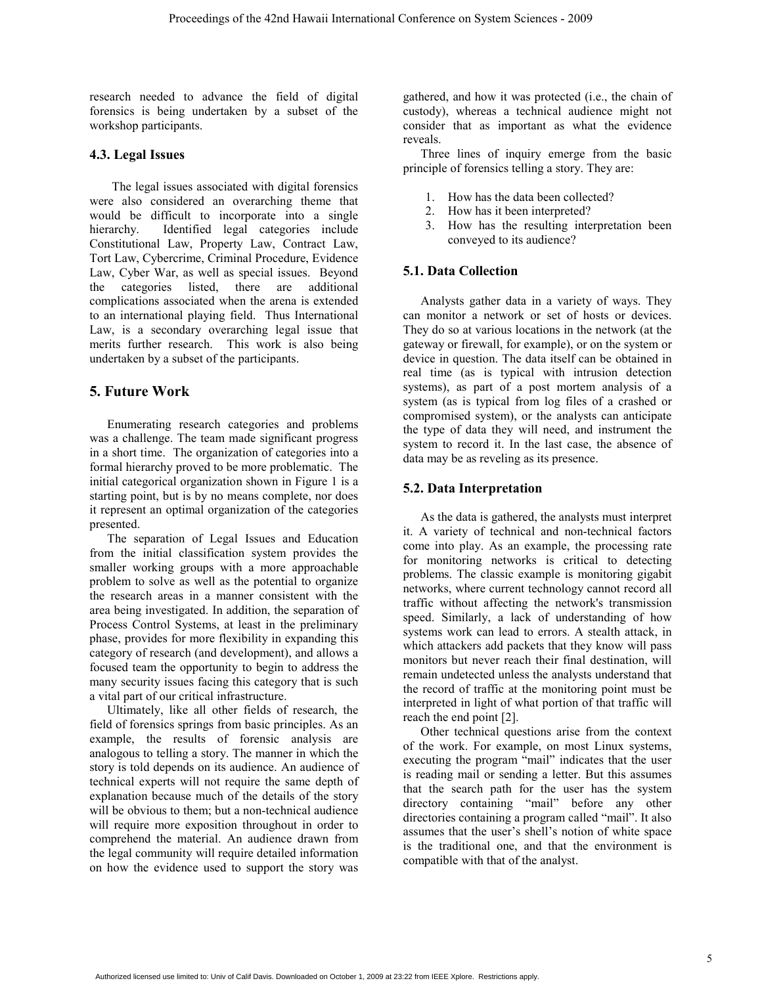research needed to advance the field of digital forensics is being undertaken by a subset of the workshop participants.

#### **4.3. Legal Issues**

 The legal issues associated with digital forensics were also considered an overarching theme that would be difficult to incorporate into a single hierarchy. Identified legal categories include Constitutional Law, Property Law, Contract Law, Tort Law, Cybercrime, Criminal Procedure, Evidence Law, Cyber War, as well as special issues. Beyond the categories listed, there are additional complications associated when the arena is extended to an international playing field. Thus International Law, is a secondary overarching legal issue that merits further research. This work is also being undertaken by a subset of the participants.

## **5. Future Work**

Enumerating research categories and problems was a challenge. The team made significant progress in a short time. The organization of categories into a formal hierarchy proved to be more problematic. The initial categorical organization shown in Figure 1 is a starting point, but is by no means complete, nor does it represent an optimal organization of the categories presented.

The separation of Legal Issues and Education from the initial classification system provides the smaller working groups with a more approachable problem to solve as well as the potential to organize the research areas in a manner consistent with the area being investigated. In addition, the separation of Process Control Systems, at least in the preliminary phase, provides for more flexibility in expanding this category of research (and development), and allows a focused team the opportunity to begin to address the many security issues facing this category that is such a vital part of our critical infrastructure.

Ultimately, like all other fields of research, the field of forensics springs from basic principles. As an example, the results of forensic analysis are analogous to telling a story. The manner in which the story is told depends on its audience. An audience of technical experts will not require the same depth of explanation because much of the details of the story will be obvious to them; but a non-technical audience will require more exposition throughout in order to comprehend the material. An audience drawn from the legal community will require detailed information on how the evidence used to support the story was

gathered, and how it was protected (i.e., the chain of custody), whereas a technical audience might not consider that as important as what the evidence reveals.

Three lines of inquiry emerge from the basic principle of forensics telling a story. They are:

- 1. How has the data been collected?
- 2. How has it been interpreted?
- 3. How has the resulting interpretation been conveyed to its audience?

## **5.1. Data Collection**

Analysts gather data in a variety of ways. They can monitor a network or set of hosts or devices. They do so at various locations in the network (at the gateway or firewall, for example), or on the system or device in question. The data itself can be obtained in real time (as is typical with intrusion detection systems), as part of a post mortem analysis of a system (as is typical from log files of a crashed or compromised system), or the analysts can anticipate the type of data they will need, and instrument the system to record it. In the last case, the absence of data may be as reveling as its presence.

## **5.2. Data Interpretation**

As the data is gathered, the analysts must interpret it. A variety of technical and non-technical factors come into play. As an example, the processing rate for monitoring networks is critical to detecting problems. The classic example is monitoring gigabit networks, where current technology cannot record all traffic without affecting the network's transmission speed. Similarly, a lack of understanding of how systems work can lead to errors. A stealth attack, in which attackers add packets that they know will pass monitors but never reach their final destination, will remain undetected unless the analysts understand that the record of traffic at the monitoring point must be interpreted in light of what portion of that traffic will reach the end point [2].

Other technical questions arise from the context of the work. For example, on most Linux systems, executing the program "mail" indicates that the user is reading mail or sending a letter. But this assumes that the search path for the user has the system directory containing "mail" before any other directories containing a program called "mail". It also assumes that the user's shell's notion of white space is the traditional one, and that the environment is compatible with that of the analyst.